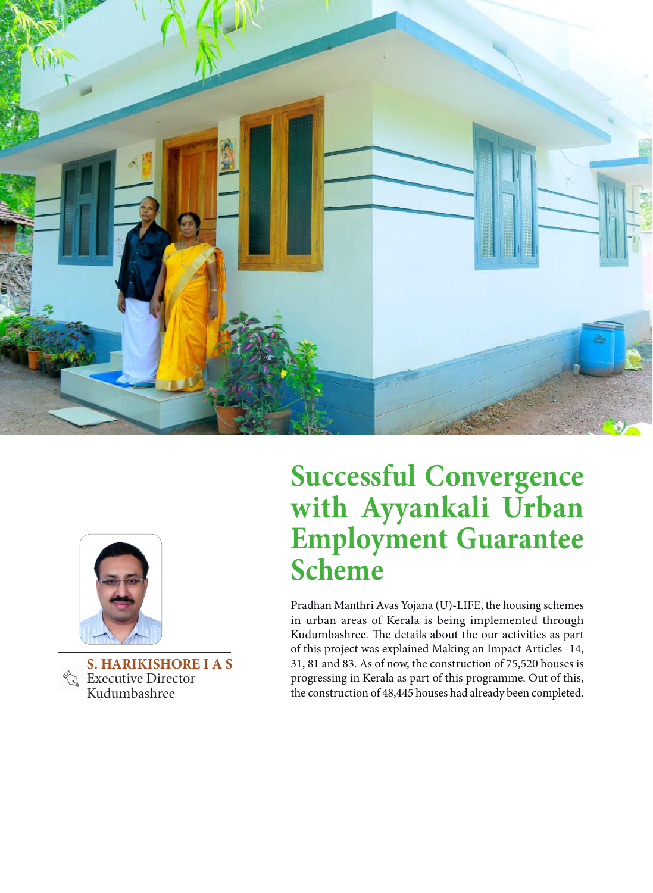



**S. HARIKISHORE I A S Executive Director** Kudumbashree

## **Successful Convergence with Ayyankali Urban Employment Guarantee Scheme**

Pradhan Manthri Avas Yojana (U)-LIFE, the housing schemes in urban areas of Kerala is being implemented through Kudumbashree. The details about the our activities as part of this project was explained Making an Impact Articles -14, 31, 81 and 83. As of now, the construction of 75,520 houses is progressing in Kerala as part of this programme. Out of this, the construction of 48,445 houses had already been completed.